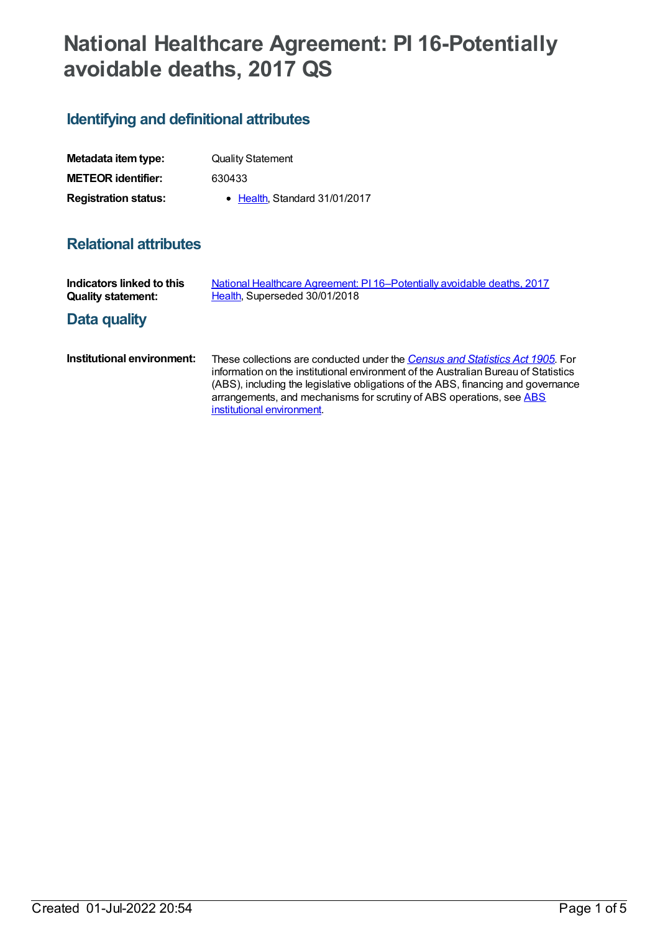# **National Healthcare Agreement: PI 16-Potentially avoidable deaths, 2017 QS**

## **Identifying and definitional attributes**

| Metadata item type:         | <b>Quality Statement</b>      |
|-----------------------------|-------------------------------|
| <b>METEOR identifier:</b>   | 630433                        |
| <b>Registration status:</b> | • Health, Standard 31/01/2017 |

## **Relational attributes**

| Indicators linked to this<br><b>Quality statement:</b> | National Healthcare Agreement: PI 16-Potentially avoidable deaths, 2017<br>Health, Superseded 30/01/2018                                                                                                                                                                                                                                                        |
|--------------------------------------------------------|-----------------------------------------------------------------------------------------------------------------------------------------------------------------------------------------------------------------------------------------------------------------------------------------------------------------------------------------------------------------|
| Data quality                                           |                                                                                                                                                                                                                                                                                                                                                                 |
| Institutional environment:                             | These collections are conducted under the Census and Statistics Act 1905. For<br>information on the institutional environment of the Australian Bureau of Statistics<br>(ABS), including the legislative obligations of the ABS, financing and governance<br>arrangements, and mechanisms for scrutiny of ABS operations, see ABS<br>institutional environment. |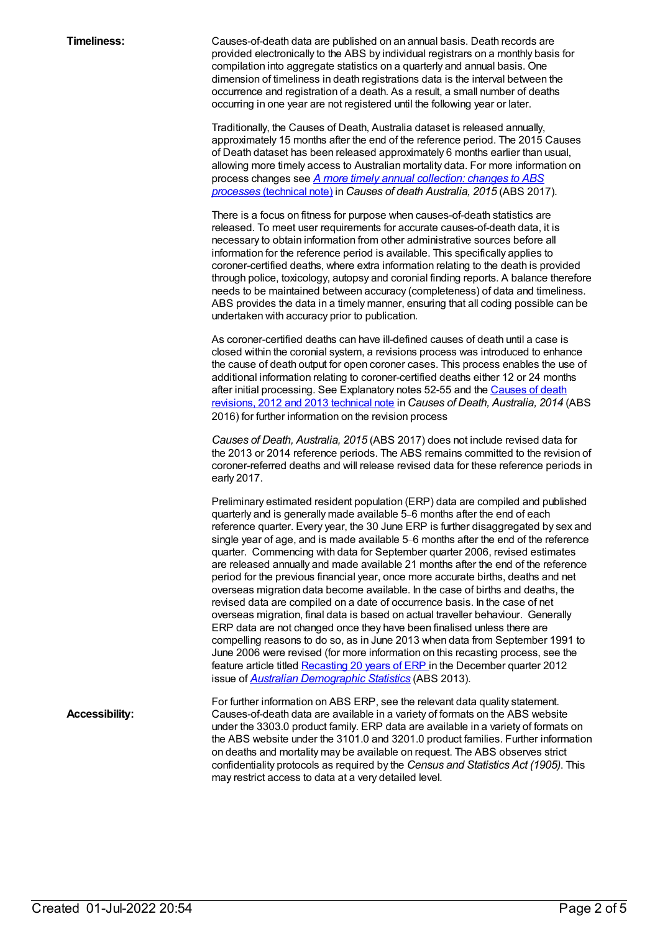**Timeliness:** Causes-of-death data are published on an annual basis. Death records are provided electronically to the ABS by individual registrars on a monthly basis for compilation into aggregate statistics on a quarterly and annual basis. One dimension of timeliness in death registrations data is the interval between the occurrence and registration of a death. As a result, a small number of deaths occurring in one year are not registered until the following year or later.

> Traditionally, the Causes of Death, Australia dataset is released annually, approximately 15 months after the end of the reference period. The 2015 Causes of Death dataset has been released approximately 6 months earlier than usual, allowing more timely access to Australian mortality data. For more information on process changes see *A more timely annual [collection:](http://www.abs.gov.au/AUSSTATS/abs@.nsf/Latestproducts/3303.0Technical%20Note12015?opendocument&tabname=Notes&prodno=3303.0&issue=2015&num=&view=) changes to ABS processes* (technical note) in *Causes of death Australia, 2015* (ABS 2017).

There is a focus on fitness for purpose when causes-of-death statistics are released. To meet user requirements for accurate causes-of-death data, it is necessary to obtain information from other administrative sources before all information for the reference period is available. This specifically applies to coroner-certified deaths, where extra information relating to the death is provided through police, toxicology, autopsy and coronial finding reports. A balance therefore needs to be maintained between accuracy (completeness) of data and timeliness. ABS provides the data in a timely manner, ensuring that all coding possible can be undertaken with accuracy prior to publication.

As coroner-certified deaths can have ill-defined causes of death until a case is closed within the coronial system, a revisions process was introduced to enhance the cause of death output for open coroner cases. This process enables the use of additional information relating to coroner-certified deaths either 12 or 24 months after initial processing. See [Explanatory](http://www.abs.gov.au/AUSSTATS/abs@.nsf/Previousproducts/3303.0Technical%20Note32014?opendocument&tabname=Notes&prodno=3303.0&issue=2014&num=&view=) notes 52-55 and the Causes of death revisions, 2012 and 2013 technical note in *Causes of Death, Australia, 2014* (ABS 2016) for further information on the revision process

*Causes of Death, Australia, 2015* (ABS 2017) does not include revised data for the 2013 or 2014 reference periods. The ABS remains committed to the revision of coroner-referred deaths and will release revised data for these reference periods in early 2017.

Preliminary estimated resident population (ERP) data are compiled and published quarterly and is generally made available 5–6 months after the end of each reference quarter. Every year, the 30 June ERP is further disaggregated by sex and single year of age, and is made available 5–6 months after the end of the reference quarter. Commencing with data for September quarter 2006, revised estimates are released annually and made available 21 months after the end of the reference period for the previous financial year, once more accurate births, deaths and net overseas migration data become available. In the case of births and deaths, the revised data are compiled on a date of occurrence basis. In the case of net overseas migration, final data is based on actual traveller behaviour. Generally ERP data are not changed once they have been finalised unless there are compelling reasons to do so, as in June 2013 when data from September 1991 to June 2006 were revised (for more information on this recasting process, see the feature article titled [Recasting](http://www.abs.gov.au/AUSSTATS/abs@.nsf/Previousproducts/3101.0Feature%20Article2Dec%202012?opendocument&tabname=Summary&prodno=3101.0&issue=Dec%202012&num=&view) 20 years of ERP in the December quarter 2012 issue of *Australian [Demographic](http://www.abs.gov.au/AUSSTATS/abs@.nsf/mf/3101.0) Statistics* (ABS 2013).

For further information on ABS ERP, see the relevant data quality statement. **Accessibility:** Causes-of-death data are available in a variety of formats on the ABS website under the 3303.0 product family. ERP data are available in a variety of formats on the ABS website under the 3101.0 and 3201.0 product families. Further information on deaths and mortality may be available on request. The ABS observes strict confidentiality protocols as required by the *Census and Statistics Act (1905)*. This may restrict access to data at a very detailed level.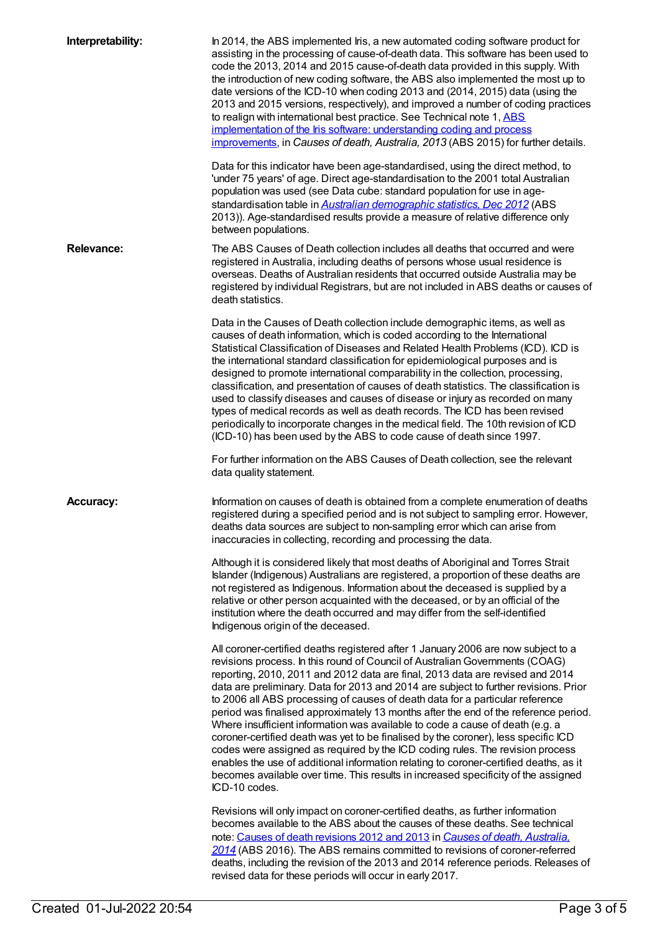| Interpretability: | In 2014, the ABS implemented Iris, a new automated coding software product for<br>assisting in the processing of cause-of-death data. This software has been used to<br>code the 2013, 2014 and 2015 cause-of-death data provided in this supply. With<br>the introduction of new coding software, the ABS also implemented the most up to<br>date versions of the ICD-10 when coding 2013 and (2014, 2015) data (using the<br>2013 and 2015 versions, respectively), and improved a number of coding practices<br>to realign with international best practice. See Technical note 1, ABS<br>implementation of the Iris software: understanding coding and process<br>improvements, in Causes of death, Australia, 2013 (ABS 2015) for further details.                                                                                                                                                                                                                    |
|-------------------|----------------------------------------------------------------------------------------------------------------------------------------------------------------------------------------------------------------------------------------------------------------------------------------------------------------------------------------------------------------------------------------------------------------------------------------------------------------------------------------------------------------------------------------------------------------------------------------------------------------------------------------------------------------------------------------------------------------------------------------------------------------------------------------------------------------------------------------------------------------------------------------------------------------------------------------------------------------------------|
|                   | Data for this indicator have been age-standardised, using the direct method, to<br>'under 75 years' of age. Direct age-standardisation to the 2001 total Australian<br>population was used (see Data cube: standard population for use in age-<br>standardisation table in <b>Australian demographic statistics</b> , Dec 2012 (ABS<br>2013)). Age-standardised results provide a measure of relative difference only<br>between populations.                                                                                                                                                                                                                                                                                                                                                                                                                                                                                                                              |
| <b>Relevance:</b> | The ABS Causes of Death collection includes all deaths that occurred and were<br>registered in Australia, including deaths of persons whose usual residence is<br>overseas. Deaths of Australian residents that occurred outside Australia may be<br>registered by individual Registrars, but are not included in ABS deaths or causes of<br>death statistics.                                                                                                                                                                                                                                                                                                                                                                                                                                                                                                                                                                                                             |
|                   | Data in the Causes of Death collection include demographic items, as well as<br>causes of death information, which is coded according to the International<br>Statistical Classification of Diseases and Related Health Problems (ICD). ICD is<br>the international standard classification for epidemiological purposes and is<br>designed to promote international comparability in the collection, processing,<br>classification, and presentation of causes of death statistics. The classification is<br>used to classify diseases and causes of disease or injury as recorded on many<br>types of medical records as well as death records. The ICD has been revised<br>periodically to incorporate changes in the medical field. The 10th revision of ICD<br>(ICD-10) has been used by the ABS to code cause of death since 1997.                                                                                                                                   |
|                   | For further information on the ABS Causes of Death collection, see the relevant<br>data quality statement.                                                                                                                                                                                                                                                                                                                                                                                                                                                                                                                                                                                                                                                                                                                                                                                                                                                                 |
| <b>Accuracy:</b>  | Information on causes of death is obtained from a complete enumeration of deaths<br>registered during a specified period and is not subject to sampling error. However,<br>deaths data sources are subject to non-sampling error which can arise from<br>inaccuracies in collecting, recording and processing the data.                                                                                                                                                                                                                                                                                                                                                                                                                                                                                                                                                                                                                                                    |
|                   | Although it is considered likely that most deaths of Aboriginal and Torres Strait<br>Islander (Indigenous) Australians are registered, a proportion of these deaths are<br>not registered as Indigenous. Information about the deceased is supplied by a<br>relative or other person acquainted with the deceased, or by an official of the<br>institution where the death occurred and may differ from the self-identified<br>Indigenous origin of the deceased.                                                                                                                                                                                                                                                                                                                                                                                                                                                                                                          |
|                   | All coroner-certified deaths registered after 1 January 2006 are now subject to a<br>revisions process. In this round of Council of Australian Governments (COAG)<br>reporting, 2010, 2011 and 2012 data are final, 2013 data are revised and 2014<br>data are preliminary. Data for 2013 and 2014 are subject to further revisions. Prior<br>to 2006 all ABS processing of causes of death data for a particular reference<br>period was finalised approximately 13 months after the end of the reference period.<br>Where insufficient information was available to code a cause of death (e.g. a<br>coroner-certified death was yet to be finalised by the coroner), less specific ICD<br>codes were assigned as required by the ICD coding rules. The revision process<br>enables the use of additional information relating to coroner-certified deaths, as it<br>becomes available over time. This results in increased specificity of the assigned<br>ICD-10 codes. |
|                   | Revisions will only impact on coroner-certified deaths, as further information<br>becomes available to the ABS about the causes of these deaths. See technical<br>note: Causes of death revisions 2012 and 2013 in Causes of death, Australia.<br>2014 (ABS 2016). The ABS remains committed to revisions of coroner-referred<br>deaths, including the revision of the 2013 and 2014 reference periods. Releases of<br>revised data for these periods will occur in early 2017.                                                                                                                                                                                                                                                                                                                                                                                                                                                                                            |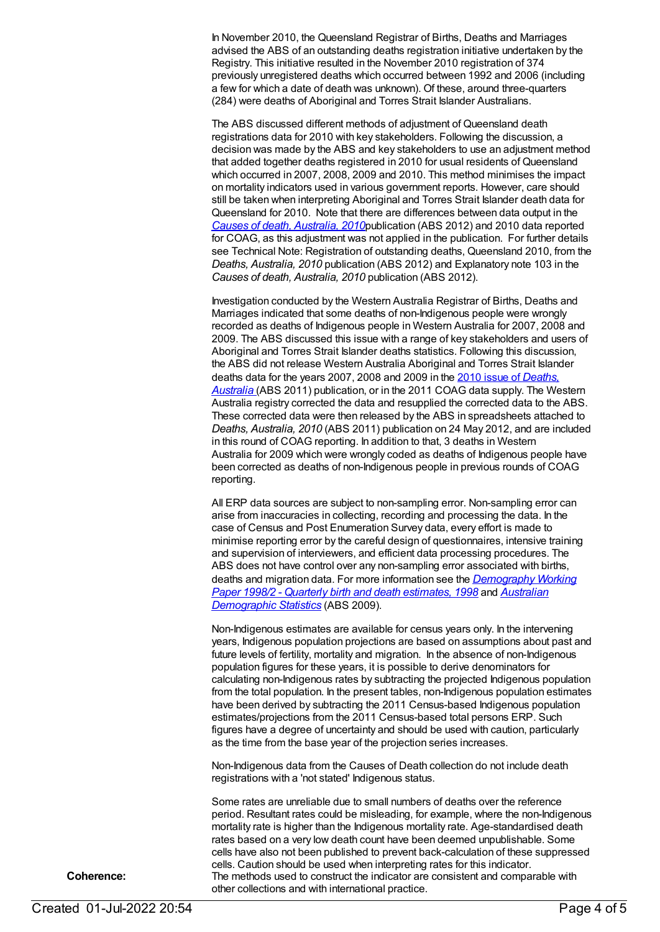In November 2010, the Queensland Registrar of Births, Deaths and Marriages advised the ABS of an outstanding deaths registration initiative undertaken by the Registry. This initiative resulted in the November 2010 registration of 374 previously unregistered deaths which occurred between 1992 and 2006 (including a few for which a date of death was unknown). Of these, around three-quarters (284) were deaths of Aboriginal and Torres Strait Islander Australians.

The ABS discussed different methods of adjustment of Queensland death registrations data for 2010 with key stakeholders. Following the discussion, a decision was made by the ABS and key stakeholders to use an adjustment method that added together deaths registered in 2010 for usual residents of Queensland which occurred in 2007, 2008, 2009 and 2010. This method minimises the impact on mortality indicators used in various government reports. However, care should still be taken when interpreting Aboriginal and Torres Strait Islander death data for Queensland for 2010. Note that there are differences between data output in the *Causes of death, [Australia,](http://www.abs.gov.au/AUSSTATS/abs@.nsf/Lookup/3303.0Main+Features12010?OpenDocument) 2010*publication (ABS 2012) and 2010 data reported for COAG, as this adjustment was not applied in the publication. For further details see Technical Note: Registration of outstanding deaths, Queensland 2010, from the *Deaths, Australia, 2010* publication (ABS 2012) and Explanatory note 103 in the *Causes of death, Australia, 2010* publication (ABS 2012).

Investigation conducted by the Western Australia Registrar of Births, Deaths and Marriages indicated that some deaths of non-Indigenous people were wrongly recorded as deaths of Indigenous people in Western Australia for 2007, 2008 and 2009. The ABS discussed this issue with a range of key stakeholders and users of Aboriginal and Torres Strait Islander deaths statistics. Following this discussion, the ABS did not release Western Australia Aboriginal and Torres Strait Islander deaths data for the years 2007, 2008 and 2009 in the 2010 issue of *Deaths, Australia* (ABS 2011) [publication,](http://www.abs.gov.au/AUSSTATS/abs@.nsf/allprimarymainfeatures/8CE24F3B3F710F8FCA257AAF0013D433?opendocument) or in the 2011 COAG data supply. The Western Australia registry corrected the data and resupplied the corrected data to the ABS. These corrected data were then released by the ABS in spreadsheets attached to *Deaths, Australia, 2010* (ABS 2011) publication on 24 May 2012, and are included in this round of COAG reporting. In addition to that, 3 deaths in Western Australia for 2009 which were wrongly coded as deaths of Indigenous people have been corrected as deaths of non-Indigenous people in previous rounds of COAG reporting.

All ERP data sources are subject to non-sampling error. Non-sampling error can arise from inaccuracies in collecting, recording and processing the data. In the case of Census and Post Enumeration Survey data, every effort is made to minimise reporting error by the careful design of questionnaires, intensive training and supervision of interviewers, and efficient data processing procedures. The ABS does not have control over any non-sampling error associated with births, deaths and migration data. For more information see the *[Demography](http://www.abs.gov.au/AUSSTATS/abs@.nsf/ProductsbyCatalogue/B5BE54544A5DAFEFCA257061001F4540?OpenDocument) Working Paper 1998/2 - Quarterly birth and death estimates, 1998* and *Australian [Demographic](http://www.abs.gov.au/AUSSTATS/abs@.nsf/second+level+view?ReadForm&prodno=3101.0&viewtitle=Australian%20Demographic%20Statistics~Sep%202016~Latest~23/03/2017&&tabname=Past%20Future%20Issues&prodno=3101.0&issue=Sep%202016&num=&view=&) Statistics* (ABS 2009).

Non-Indigenous estimates are available for census years only. In the intervening years, Indigenous population projections are based on assumptions about past and future levels of fertility, mortality and migration. In the absence of non-Indigenous population figures for these years, it is possible to derive denominators for calculating non-Indigenous rates by subtracting the projected Indigenous population from the total population. In the present tables, non-Indigenous population estimates have been derived by subtracting the 2011 Census-based Indigenous population estimates/projections from the 2011 Census-based total persons ERP. Such figures have a degree of uncertainty and should be used with caution, particularly as the time from the base year of the projection series increases.

Non-Indigenous data from the Causes of Death collection do not include death registrations with a 'not stated' Indigenous status.

Some rates are unreliable due to small numbers of deaths over the reference period. Resultant rates could be misleading, for example, where the non-Indigenous mortality rate is higher than the Indigenous mortality rate. Age-standardised death rates based on a very low death count have been deemed unpublishable. Some cells have also not been published to prevent back-calculation of these suppressed cells. Caution should be used when interpreting rates for this indicator. **Coherence:** The methods used to construct the indicator are consistent and comparable with other collections and with international practice.